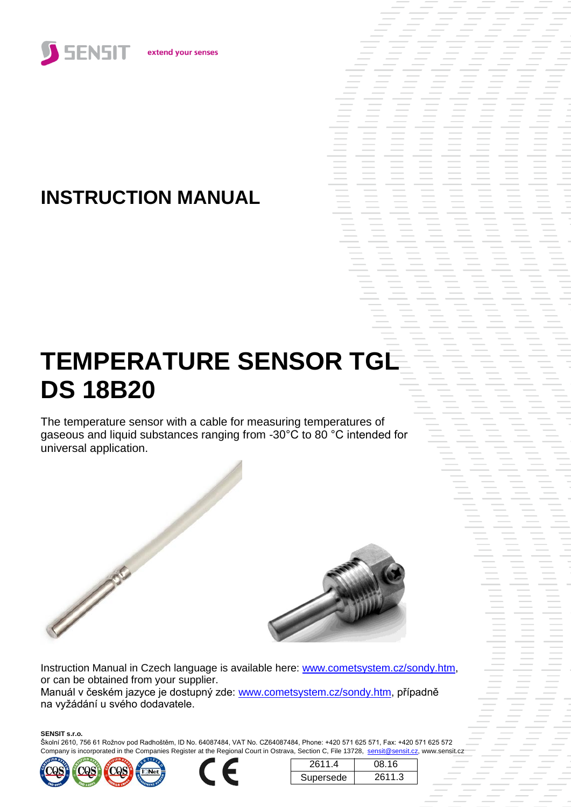

# **INSTRUCTION MANUAL**

# **TEMPERATURE SENSOR TGL DS 18B20**

The temperature sensor with a cable for measuring temperatures of gaseous and liquid substances ranging from -30°C to 80 °C intended for universal application.





Instruction Manual in Czech language is available here: [www.cometsystem.cz/sondy.htm,](http://www.cometsystem.cz/sondy.htm) or can be obtained from your supplier.

Manuál v českém jazyce je dostupný zde: [www.cometsystem.cz/sondy.htm,](http://www.cometsystem.cz/sondy.htm) případně na vyžádání u svého dodavatele.

#### **SENSIT s.r.o.**

Školní 2610, 756 61 Rožnov pod Radhoštěm, ID No. 64087484, VAT No. CZ64087484, Phone: +420 571 625 571, Fax: +420 571 625 572 Company is incorporated in the Companies Register at the Regional Court in Ostrava, Section C, File 13728, sensit@sensit.cz, www.sensit.cz





| 2611.4    | 08.16  |
|-----------|--------|
| Supersede | 2611.3 |

s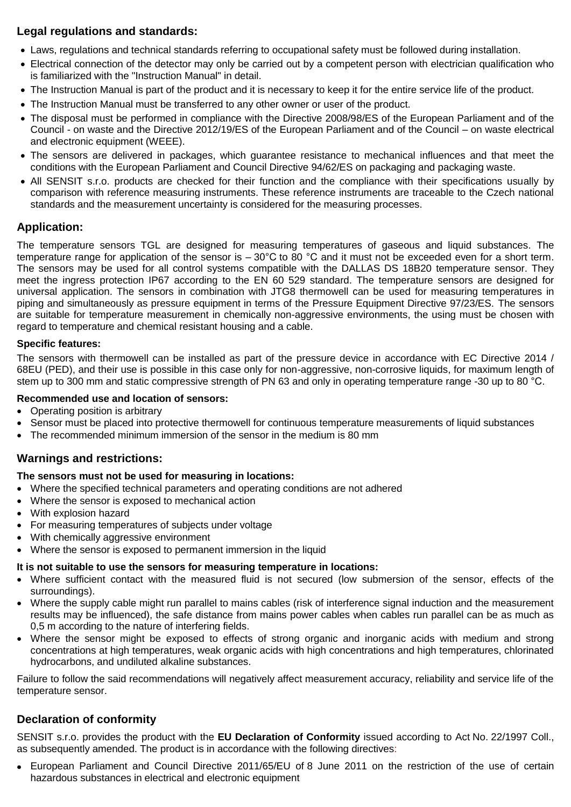# **Legal regulations and standards:**

- Laws, regulations and technical standards referring to occupational safety must be followed during installation.
- Electrical connection of the detector may only be carried out by a competent person with electrician qualification who is familiarized with the "Instruction Manual" in detail.
- The Instruction Manual is part of the product and it is necessary to keep it for the entire service life of the product.
- The Instruction Manual must be transferred to any other owner or user of the product.
- The disposal must be performed in compliance with the Directive 2008/98/ES of the European Parliament and of the Council - on waste and the Directive 2012/19/ES of the European Parliament and of the Council – on waste electrical and electronic equipment (WEEE).
- The sensors are delivered in packages, which guarantee resistance to mechanical influences and that meet the conditions with the European Parliament and Council Directive 94/62/ES on packaging and packaging waste.
- All SENSIT s.r.o. products are checked for their function and the compliance with their specifications usually by comparison with reference measuring instruments. These reference instruments are traceable to the Czech national standards and the measurement uncertainty is considered for the measuring processes.

# **Application:**

The temperature sensors TGL are designed for measuring temperatures of gaseous and liquid substances. The temperature range for application of the sensor is – 30°C to 80 °C and it must not be exceeded even for a short term. The sensors may be used for all control systems compatible with the DALLAS DS 18B20 temperature sensor. They meet the ingress protection IP67 according to the EN 60 529 standard. The temperature sensors are designed for universal application. The sensors in combination with JTG8 thermowell can be used for measuring temperatures in piping and simultaneously as pressure equipment in terms of the Pressure Equipment Directive 97/23/ES. The sensors are suitable for temperature measurement in chemically non-aggressive environments, the using must be chosen with regard to temperature and chemical resistant housing and a cable.

#### **Specific features:**

The sensors with thermowell can be installed as part of the pressure device in accordance with EC Directive 2014 / 68EU (PED), and their use is possible in this case only for non-aggressive, non-corrosive liquids, for maximum length of stem up to 300 mm and static compressive strength of PN 63 and only in operating temperature range -30 up to 80 °C.

#### **Recommended use and location of sensors:**

- Operating position is arbitrary
- Sensor must be placed into protective thermowell for continuous temperature measurements of liquid substances
- The recommended minimum immersion of the sensor in the medium is 80 mm

# **Warnings and restrictions:**

#### **The sensors must not be used for measuring in locations:**

- Where the specified technical parameters and operating conditions are not adhered
- Where the sensor is exposed to mechanical action
- With explosion hazard
- For measuring temperatures of subjects under voltage
- With chemically aggressive environment
- Where the sensor is exposed to permanent immersion in the liquid

#### **It is not suitable to use the sensors for measuring temperature in locations:**

- Where sufficient contact with the measured fluid is not secured (low submersion of the sensor, effects of the surroundings).
- Where the supply cable might run parallel to mains cables (risk of interference signal induction and the measurement results may be influenced), the safe distance from mains power cables when cables run parallel can be as much as 0,5 m according to the nature of interfering fields.
- Where the sensor might be exposed to effects of strong organic and inorganic acids with medium and strong concentrations at high temperatures, weak organic acids with high concentrations and high temperatures, chlorinated hydrocarbons, and undiluted alkaline substances.

Failure to follow the said recommendations will negatively affect measurement accuracy, reliability and service life of the temperature sensor.

# **Declaration of conformity**

SENSIT s.r.o. provides the product with the **EU Declaration of Conformity** issued according to Act No. 22/1997 Coll., as subsequently amended. The product is in accordance with the following directives:

 European Parliament and Council Directive 2011/65/EU of 8 June 2011 on the restriction of the use of certain hazardous substances in electrical and electronic equipment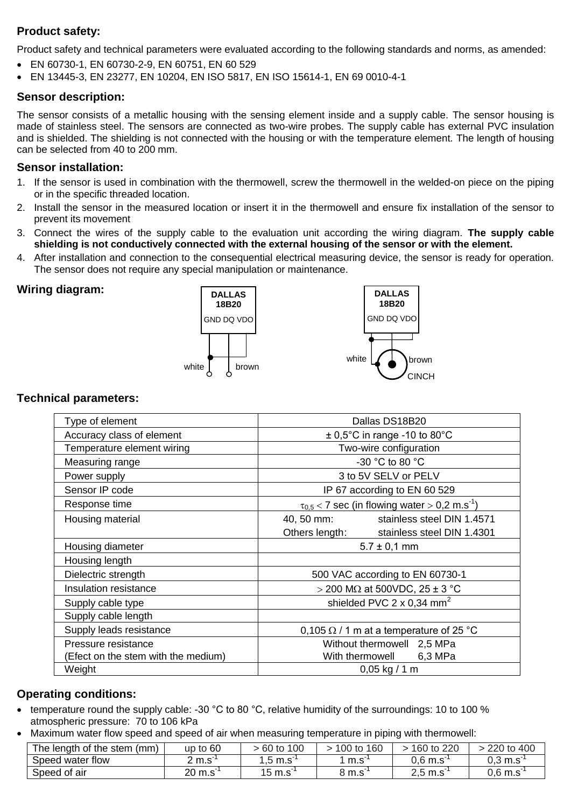# **Product safety:**

Product safety and technical parameters were evaluated according to the following standards and norms, as amended:

- EN 60730-1, EN 60730-2-9, EN 60751, EN 60 529
- EN 13445-3, EN 23277, EN 10204, EN ISO 5817, EN ISO 15614-1, EN 69 0010-4-1

#### **Sensor description:**

The sensor consists of a metallic housing with the sensing element inside and a supply cable. The sensor housing is made of stainless steel. The sensors are connected as two-wire probes. The supply cable has external PVC insulation and is shielded. The shielding is not connected with the housing or with the temperature element. The length of housing can be selected from 40 to 200 mm.

#### **Sensor installation:**

- 1. If the sensor is used in combination with the thermowell, screw the thermowell in the welded-on piece on the piping or in the specific threaded location.
- 2. Install the sensor in the measured location or insert it in the thermowell and ensure fix installation of the sensor to prevent its movement
- 3. Connect the wires of the supply cable to the evaluation unit according the wiring diagram. **The supply cable shielding is not conductively connected with the external housing of the sensor or with the element.**
- 4. After installation and connection to the consequential electrical measuring device, the sensor is ready for operation. The sensor does not require any special manipulation or maintenance.

# **Wiring diagram:**





# **Technical parameters:**

| Type of element                     | Dallas DS18B20                                                   |  |  |  |  |
|-------------------------------------|------------------------------------------------------------------|--|--|--|--|
| Accuracy class of element           | $\pm$ 0,5°C in range -10 to 80°C                                 |  |  |  |  |
| Temperature element wiring          | Two-wire configuration                                           |  |  |  |  |
| Measuring range                     | -30 °C to 80 °C                                                  |  |  |  |  |
| Power supply                        | 3 to 5V SELV or PELV                                             |  |  |  |  |
| Sensor IP code                      | IP 67 according to EN 60 529                                     |  |  |  |  |
| Response time                       | $\tau_{0.5}$ < 7 sec (in flowing water > 0,2 m.s <sup>-1</sup> ) |  |  |  |  |
| Housing material                    | stainless steel DIN 1.4571<br>40, 50 mm:                         |  |  |  |  |
|                                     | Others length:<br>stainless steel DIN 1.4301                     |  |  |  |  |
| Housing diameter                    | $5.7 \pm 0.1$ mm                                                 |  |  |  |  |
| Housing length                      |                                                                  |  |  |  |  |
| Dielectric strength                 | 500 VAC according to EN 60730-1                                  |  |  |  |  |
| Insulation resistance               | > 200 MΩ at 500VDC, 25 ± 3 °C                                    |  |  |  |  |
| Supply cable type                   | shielded PVC $2 \times 0.34$ mm <sup>2</sup>                     |  |  |  |  |
| Supply cable length                 |                                                                  |  |  |  |  |
| Supply leads resistance             | 0,105 $\Omega$ / 1 m at a temperature of 25 °C                   |  |  |  |  |
| Pressure resistance                 | Without thermowell 2,5 MPa                                       |  |  |  |  |
| (Efect on the stem with the medium) | With thermowell<br>6,3 MPa                                       |  |  |  |  |
| Weight                              | $0,05$ kg / 1 m                                                  |  |  |  |  |

# **Operating conditions:**

- temperature round the supply cable: -30  $^{\circ}$ C to 80  $^{\circ}$ C, relative humidity of the surroundings: 10 to 100 % atmospheric pressure: 70 to 106 kPa
	- Maximum water flow speed and speed of air when measuring temperature in piping with thermowell:

| The length of the stem<br>(mm) | up to 60   | 100<br>$.60$ to      | 160<br>100 to | 160 to 220  | 400<br>$220$ to   |
|--------------------------------|------------|----------------------|---------------|-------------|-------------------|
| Speed water flow               | m.s        | .,5 m.s <sup>-</sup> | m.s           | 0.6<br>∍m.s | $^{\circ}$ 3 m.s  |
| Speed of air                   | 20.<br>m.s | 15<br>m.s            | m.s           | つに<br>m.s   | $0.6 \text{ m.s}$ |